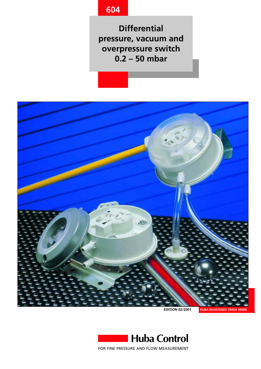# **604**

**Differential pressure, vacuum and overpressure switch 0.2 – 50 mbar**



**EDITION 02/2001**



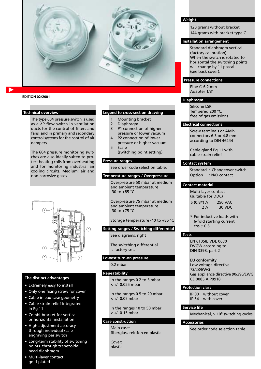

#### **EDITION 02/2001**

#### **Technical overview**

The type 604 pressure switch is used as a ∆P flow switch in ventilation ducts for the control of filters and fans, and in primary and secondary control systems for the control of air dampers.

The 604 pressure monitoring switches are also ideally suited to protect heating coils from overheating and for monitoring industrial air cooling circuits. Medium: air and non-corrosive gases.



#### **The distinct advantages**

- **•** Extremely easy to install
- Only one fixing screw for cover
- Cable inlead case geometry
- Cable strain relief integrated in Pg 11
- Combi-bracket for vertical or horizontal installation
- High adjustment accuracy through individual scale engraving per switch
- Long-term stability of switching points through trapezoidal bead diaphragm
- Multi-layer contact gold-plated

#### **Legend to cross-section drawing**

- 1 Mounting bracket
- 2 Diaphragm<br>3 P1 connecti
- P1 connection of higher pressure or lower vacuum
- 4 P2 connection of lower pressure or higher vacuum
- 5 Scale (switching point setting)

#### **Pressure ranges**

See order code selection table.

#### **Temperature ranges / Overpressure**

Overpressure 50 mbar at medium and ambient temperature -30 to +85 °C

Overpressure 75 mbar at medium and ambient temperature -30 to +75 °C

Storage temperature -40 to +85 °C

#### **Setting ranges / Switching differential**

See diagrams, right

The switching differential is factory-set.

#### **Lowest turn-on pressure**

0.2 mbar

#### **Repeatability**

In the ranges 0.2 to 3 mbar < +/- 0.025 mbar

In the ranges 0.5 to 20 mbar < +/- 0.05 mbar

In the ranges 10 to 50 mbar < +/- 0.15 mbar

#### **Case construction**

Main case: fiberglass-reinforced plastic

Cover: plastic

#### **Weight**

120 grams without bracket 144 grams with bracket type C

#### **Installation arrangement**

Standard diaphragm vertical (factory calibration) When the switch is rotated to horizontal the switching points will change by 11 pascal (see back cover).

#### **Pressure connections**

Pipe ∅ 6.2 mm Adapter 1/8''

#### **Diaphragm**

Silicone LSR Tempered 200 °C, free of gas emissions

#### **Electrical connections**

Screw terminals or AMPconnectors 6.3 or 4.8 mm according to DIN 46244

Cable gland Pg 11 with cable strain relief

#### **Contact system**

Standard : Changeover switch Option : N/O contact

#### **Contact material**

Multi-layer contact (suitable for DDC) 5 (0.8\*) A 250 VAC  $2 A$  30 VDC

\* For inductive loads with 6-fold starting current cos  $\varphi$  0.6

#### **Tests** 6

EN 61058, VDE 0630 DVGW according to DIN 3398, part 2

**EU conformity** Low voltage directive 73/23/EWG Gas appliance directive 90/396/EWG CE 0085 A P0918

#### **Protection class**

IP 00 without cover IP 54 with cover

### **Service life**

Mechanical, > 106 switching cycles

#### **Accessories**

See order code selection table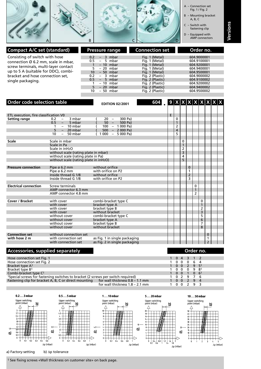

| <b>Compact A/C set (standard)</b>                                                                                                                                                                              | <b>Pressure range</b>                                                                                                                                                                        | <b>Connection set</b>                                                                                                                                                                      | Order no.                                                                                                                                          |
|----------------------------------------------------------------------------------------------------------------------------------------------------------------------------------------------------------------|----------------------------------------------------------------------------------------------------------------------------------------------------------------------------------------------|--------------------------------------------------------------------------------------------------------------------------------------------------------------------------------------------|----------------------------------------------------------------------------------------------------------------------------------------------------|
| Consisting of switch with hose<br>connection Ø 6.2 mm, scale in mbar,<br>screw terminals, multi-layer contact<br>up to 5 A (suitable for DDC), combi-<br>bracket and hose connection set,<br>single packaging. | $-$ 3 mbar<br>0.2<br>$0.5 - 5$ mbar<br>$-10$ mbar<br>- 20 mbar<br>10 <sup>1</sup><br>$-50$ mbar<br>$-$ 3 mbar<br>0.2<br>$-5$ mbar<br>0.5<br>– 10 mbar<br>$-20$ mbar<br>5.<br>– 50 mbar<br>10 | Fig. 1 (Metal)<br>Fig. 1 (Metal)<br>Fig. 1 (Metal)<br>Fig. 1 (Metal)<br>Fig. 1 (Metal)<br>Fig. 2 (Plastic)<br>Fig. 2 (Plastic)<br>Fig. 2 (Plastic)<br>Fig. 2 (Plastic)<br>Fig. 2 (Plastic) | 604.9000001<br>604.9100001<br>604.9200001<br>604.9400001<br>604.9500001<br>604.9000002<br>604.9100002<br>604.9200002<br>604.9400002<br>604.9500002 |

| <b>Order code selection table</b>     |                                           | <b>EDITION 02/2001</b>        | 604 $\bullet$ 9 $\mathsf{x}$ $\mathsf{x}$ $\mathsf{x}$ $\mathsf{x}$ $\mathsf{x}$ $\mathsf{x}$ $\mathsf{x}$ $\mathsf{x}$ |   |   |   |                |                |   |                |  |
|---------------------------------------|-------------------------------------------|-------------------------------|-------------------------------------------------------------------------------------------------------------------------|---|---|---|----------------|----------------|---|----------------|--|
|                                       |                                           |                               |                                                                                                                         |   |   |   |                |                |   |                |  |
| ETL execution, fire classification V0 |                                           |                               |                                                                                                                         | E |   |   |                |                |   |                |  |
| <b>Setting range</b>                  | 0.2<br>3 mbar<br>$\overline{\phantom{0}}$ | 300 Pa)<br>$20 -$             |                                                                                                                         |   | 0 |   |                |                |   |                |  |
|                                       | 0.5<br>5 mbar<br>$\overline{\phantom{a}}$ | $50 -$<br>500 Pa)             |                                                                                                                         |   |   |   |                |                |   |                |  |
|                                       | 10 mbar<br>$\overline{\phantom{a}}$       | $100 - 1000$ Pa               |                                                                                                                         |   | 2 |   |                |                |   |                |  |
|                                       | 5<br>$-20$ mbar                           | $500 - 2000 Pa$               |                                                                                                                         |   | 4 |   |                |                |   |                |  |
|                                       | 10<br>50 mbar<br>$\overline{\phantom{0}}$ | $1000 - 5000$ Pa)             |                                                                                                                         |   | 5 |   |                |                |   |                |  |
| <b>Scale</b>                          | Scale in mbar                             |                               |                                                                                                                         |   |   | 0 |                |                |   |                |  |
|                                       | Scale in Pa                               |                               |                                                                                                                         |   |   | 1 |                |                |   |                |  |
|                                       | Scale in inH <sub>2</sub> O               |                               |                                                                                                                         |   |   | 2 |                |                |   |                |  |
|                                       | without scale (rating plate in mbar)      |                               |                                                                                                                         |   |   | 3 |                |                |   |                |  |
|                                       | without scale (rating plate in Pa)        |                               |                                                                                                                         |   |   | 4 |                |                |   |                |  |
|                                       | without scale (rating plate in inH2O)     |                               |                                                                                                                         |   |   | 5 |                |                |   |                |  |
|                                       |                                           |                               |                                                                                                                         |   |   |   |                |                |   |                |  |
| <b>Pressure connection</b>            | Pipe $\varnothing$ 6.2 mm                 | without orifice               |                                                                                                                         |   |   |   | 0              |                |   |                |  |
|                                       | Pipe $\varnothing$ 6.2 mm                 | with orifice on P2            |                                                                                                                         |   |   |   | $\mathbf{1}$   |                |   |                |  |
|                                       | Inside thread G 1/8                       | without orifice               |                                                                                                                         |   |   |   | $\overline{2}$ |                |   |                |  |
|                                       | Inside thread G 1/8                       | with orifice on P2            |                                                                                                                         |   |   |   | 3              |                |   |                |  |
| <b>Electrical connection</b>          | Screw terminals                           |                               |                                                                                                                         |   |   |   |                | 0              |   |                |  |
|                                       | AMP connector 6.3 mm                      |                               |                                                                                                                         |   |   |   |                | 1              |   |                |  |
|                                       | AMP connector 4.8 mm                      |                               |                                                                                                                         |   |   |   |                | $\overline{2}$ |   |                |  |
|                                       |                                           |                               |                                                                                                                         |   |   |   |                |                |   |                |  |
| Cover / Bracket                       | with cover                                | combi-bracket type C          |                                                                                                                         |   |   |   |                |                | 0 |                |  |
|                                       | with cover                                | bracket type A                |                                                                                                                         |   |   |   |                |                | 1 |                |  |
|                                       | with cover                                | bracket type B                |                                                                                                                         |   |   |   |                |                | 2 |                |  |
|                                       | with cover                                | without bracket               |                                                                                                                         |   |   |   |                |                | 3 |                |  |
|                                       | without cover                             | combi-bracket type C          |                                                                                                                         |   |   |   |                |                | 5 |                |  |
|                                       | without cover                             | bracket type A                |                                                                                                                         |   |   |   |                |                | 6 |                |  |
|                                       | without cover                             | bracket type B                |                                                                                                                         |   |   |   |                |                | 7 |                |  |
|                                       | without cover                             | without bracket               |                                                                                                                         |   |   |   |                |                | 8 |                |  |
| <b>Connection set</b>                 | without connection set                    |                               |                                                                                                                         |   |   |   |                |                |   | $\mathbf 0$    |  |
| with hose 2 m                         | with connection set                       | as Fig. 1 in single packaging |                                                                                                                         |   |   |   |                |                |   | 1              |  |
|                                       | with connection set                       | as Fig. 2 in single packaging |                                                                                                                         |   |   |   |                |                |   | $\overline{2}$ |  |
|                                       |                                           |                               |                                                                                                                         |   |   |   |                |                |   |                |  |

# **Accessories, supplied separately**

| <b>Accessories, supplied separately</b>                                                                                                                                     | Order no.    |  |
|-----------------------------------------------------------------------------------------------------------------------------------------------------------------------------|--------------|--|
| Hose connection set Fig. 1                                                                                                                                                  | 1 0 4 3 1 2  |  |
| Hose connection set Fig. 2                                                                                                                                                  | 00064        |  |
| Bracket type A <sup>1</sup>                                                                                                                                                 | 1 0 0 2 9 51 |  |
| Bracket type B1                                                                                                                                                             | 000981       |  |
| Combi-bracket type C <sup>1</sup>                                                                                                                                           | 1 0 0 1 0 61 |  |
| 1Special screws for fastening switches to bracket (2 screws per switch required)<br>Fastening clip for bracket A, B, C or direct mounting for wall thickness $0.8 - 1.1$ mm | 1 0 2 9 7 6  |  |
|                                                                                                                                                                             | 1 0 0 2 9 4  |  |
| for wall thickness $1.8 - 2.1$ mm                                                                                                                                           | $0\quad 0$   |  |



a) Factory-setting b) ∆p tolerance

1 See fixing screws «Wall thickness on customer site» on back page.